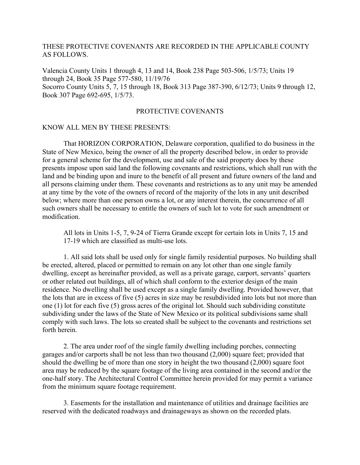### THESE PROTECTIVE COVENANTS ARE RECORDED IN THE APPLICABLE COUNTY AS FOLLOWS.

Valencia County Units 1 through 4, 13 and 14, Book 238 Page 503-506, 1/5/73; Units 19 through 24, Book 35 Page 577-580, 11/19/76 Socorro County Units 5, 7, 15 through 18, Book 313 Page 387-390, 6/12/73; Units 9 through 12, Book 307 Page 692-695, 1/5/73.

# PROTECTIVE COVENANTS

#### KNOW ALL MEN BY THESE PRESENTS:

 That HORIZON CORPORATION, Delaware corporation, qualified to do business in the State of New Mexico, being the owner of all the property described below, in order to provide for a general scheme for the development, use and sale of the said property does by these presents impose upon said land the following covenants and restrictions, which shall run with the land and be binding upon and inure to the benefit of all present and future owners of the land and all persons claiming under them. These covenants and restrictions as to any unit may be amended at any time by the vote of the owners of record of the majority of the lots in any unit described below; where more than one person owns a lot, or any interest therein, the concurrence of all such owners shall be necessary to entitle the owners of such lot to vote for such amendment or modification.

All lots in Units 1-5, 7, 9-24 of Tierra Grande except for certain lots in Units 7, 15 and 17-19 which are classified as multi-use lots.

 1. All said lots shall be used only for single family residential purposes. No building shall be erected, altered, placed or permitted to remain on any lot other than one single family dwelling, except as hereinafter provided, as well as a private garage, carport, servants' quarters or other related out buildings, all of which shall conform to the exterior design of the main residence. No dwelling shall be used except as a single family dwelling. Provided however, that the lots that are in excess of five (5) acres in size may be resubdivided into lots but not more than one (1) lot for each five (5) gross acres of the original lot. Should such subdividing constitute subdividing under the laws of the State of New Mexico or its political subdivisions same shall comply with such laws. The lots so created shall be subject to the covenants and restrictions set forth herein.

 2. The area under roof of the single family dwelling including porches, connecting garages and/or carports shall be not less than two thousand (2,000) square feet; provided that should the dwelling be of more than one story in height the two thousand (2,000) square foot area may be reduced by the square footage of the living area contained in the second and/or the one-half story. The Architectural Control Committee herein provided for may permit a variance from the minimum square footage requirement.

 3. Easements for the installation and maintenance of utilities and drainage facilities are reserved with the dedicated roadways and drainageways as shown on the recorded plats.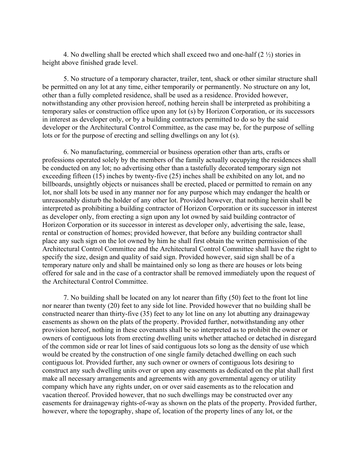4. No dwelling shall be erected which shall exceed two and one-half  $(2 \frac{1}{2})$  stories in height above finished grade level.

 5. No structure of a temporary character, trailer, tent, shack or other similar structure shall be permitted on any lot at any time, either temporarily or permanently. No structure on any lot, other than a fully completed residence, shall be used as a residence. Provided however, notwithstanding any other provision hereof, nothing herein shall be interpreted as prohibiting a temporary sales or construction office upon any lot (s) by Horizon Corporation, or its successors in interest as developer only, or by a building contractors permitted to do so by the said developer or the Architectural Control Committee, as the case may be, for the purpose of selling lots or for the purpose of erecting and selling dwellings on any lot (s).

 6. No manufacturing, commercial or business operation other than arts, crafts or professions operated solely by the members of the family actually occupying the residences shall be conducted on any lot; no advertising other than a tastefully decorated temporary sign not exceeding fifteen (15) inches by twenty-five (25) inches shall be exhibited on any lot, and no billboards, unsightly objects or nuisances shall be erected, placed or permitted to remain on any lot, nor shall lots be used in any manner nor for any purpose which may endanger the health or unreasonably disturb the holder of any other lot. Provided however, that nothing herein shall be interpreted as prohibiting a building contractor of Horizon Corporation or its successor in interest as developer only, from erecting a sign upon any lot owned by said building contractor of Horizon Corporation or its successor in interest as developer only, advertising the sale, lease, rental or construction of homes; provided however, that before any building contractor shall place any such sign on the lot owned by him he shall first obtain the written permission of the Architectural Control Committee and the Architectural Control Committee shall have the right to specify the size, design and quality of said sign. Provided however, said sign shall be of a temporary nature only and shall be maintained only so long as there are houses or lots being offered for sale and in the case of a contractor shall be removed immediately upon the request of the Architectural Control Committee.

 7. No building shall be located on any lot nearer than fifty (50) feet to the front lot line nor nearer than twenty (20) feet to any side lot line. Provided however that no building shall be constructed nearer than thirty-five (35) feet to any lot line on any lot abutting any drainageway easements as shown on the plats of the property. Provided further, notwithstanding any other provision hereof, nothing in these covenants shall be so interpreted as to prohibit the owner or owners of contiguous lots from erecting dwelling units whether attached or detached in disregard of the common side or rear lot lines of said contiguous lots so long as the density of use which would be created by the construction of one single family detached dwelling on each such contiguous lot. Provided further, any such owner or owners of contiguous lots desiring to construct any such dwelling units over or upon any easements as dedicated on the plat shall first make all necessary arrangements and agreements with any governmental agency or utility company which have any rights under, on or over said easements as to the relocation and vacation thereof. Provided however, that no such dwellings may be constructed over any easements for drainageway rights-of-way as shown on the plats of the property. Provided further, however, where the topography, shape of, location of the property lines of any lot, or the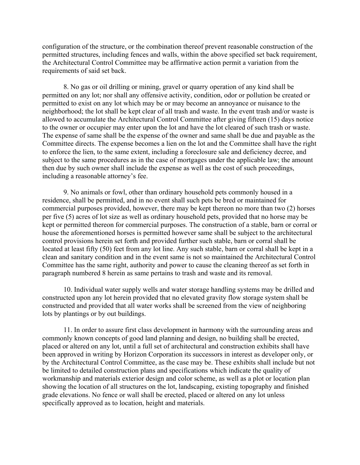configuration of the structure, or the combination thereof prevent reasonable construction of the permitted structures, including fences and walls, within the above specified set back requirement, the Architectural Control Committee may be affirmative action permit a variation from the requirements of said set back.

 8. No gas or oil drilling or mining, gravel or quarry operation of any kind shall be permitted on any lot; nor shall any offensive activity, condition, odor or pollution be created or permitted to exist on any lot which may be or may become an annoyance or nuisance to the neighborhood; the lot shall be kept clear of all trash and waste. In the event trash and/or waste is allowed to accumulate the Architectural Control Committee after giving fifteen (15) days notice to the owner or occupier may enter upon the lot and have the lot cleared of such trash or waste. The expense of same shall be the expense of the owner and same shall be due and payable as the Committee directs. The expense becomes a lien on the lot and the Committee shall have the right to enforce the lien, to the same extent, including a foreclosure sale and deficiency decree, and subject to the same procedures as in the case of mortgages under the applicable law; the amount then due by such owner shall include the expense as well as the cost of such proceedings, including a reasonable attorney's fee.

 9. No animals or fowl, other than ordinary household pets commonly housed in a residence, shall be permitted, and in no event shall such pets be bred or maintained for commercial purposes provided, however, there may be kept thereon no more than two (2) horses per five (5) acres of lot size as well as ordinary household pets, provided that no horse may be kept or permitted thereon for commercial purposes. The construction of a stable, barn or corral or house the aforementioned horses is permitted however same shall be subject to the architectural control provisions herein set forth and provided further such stable, barn or corral shall be located at least fifty (50) feet from any lot line. Any such stable, barn or corral shall be kept in a clean and sanitary condition and in the event same is not so maintained the Architectural Control Committee has the same right, authority and power to cause the cleaning thereof as set forth in paragraph numbered 8 herein as same pertains to trash and waste and its removal.

 10. Individual water supply wells and water storage handling systems may be drilled and constructed upon any lot herein provided that no elevated gravity flow storage system shall be constructed and provided that all water works shall be screened from the view of neighboring lots by plantings or by out buildings.

 11. In order to assure first class development in harmony with the surrounding areas and commonly known concepts of good land planning and design, no building shall be erected, placed or altered on any lot, until a full set of architectural and construction exhibits shall have been approved in writing by Horizon Corporation its successors in interest as developer only, or by the Architectural Control Committee, as the case may be. These exhibits shall include but not be limited to detailed construction plans and specifications which indicate the quality of workmanship and materials exterior design and color scheme, as well as a plot or location plan showing the location of all structures on the lot, landscaping, existing topography and finished grade elevations. No fence or wall shall be erected, placed or altered on any lot unless specifically approved as to location, height and materials.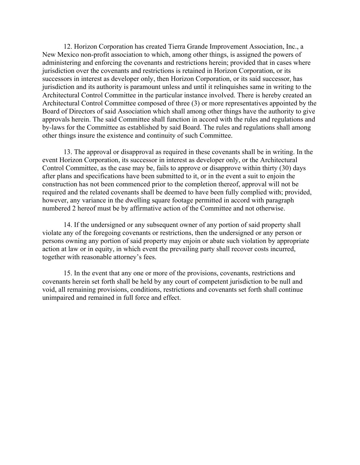12. Horizon Corporation has created Tierra Grande Improvement Association, Inc., a New Mexico non-profit association to which, among other things, is assigned the powers of administering and enforcing the covenants and restrictions herein; provided that in cases where jurisdiction over the covenants and restrictions is retained in Horizon Corporation, or its successors in interest as developer only, then Horizon Corporation, or its said successor, has jurisdiction and its authority is paramount unless and until it relinquishes same in writing to the Architectural Control Committee in the particular instance involved. There is hereby created an Architectural Control Committee composed of three (3) or more representatives appointed by the Board of Directors of said Association which shall among other things have the authority to give approvals herein. The said Committee shall function in accord with the rules and regulations and by-laws for the Committee as established by said Board. The rules and regulations shall among other things insure the existence and continuity of such Committee.

 13. The approval or disapproval as required in these covenants shall be in writing. In the event Horizon Corporation, its successor in interest as developer only, or the Architectural Control Committee, as the case may be, fails to approve or disapprove within thirty (30) days after plans and specifications have been submitted to it, or in the event a suit to enjoin the construction has not been commenced prior to the completion thereof, approval will not be required and the related covenants shall be deemed to have been fully complied with; provided, however, any variance in the dwelling square footage permitted in accord with paragraph numbered 2 hereof must be by affirmative action of the Committee and not otherwise.

 14. If the undersigned or any subsequent owner of any portion of said property shall violate any of the foregoing covenants or restrictions, then the undersigned or any person or persons owning any portion of said property may enjoin or abate such violation by appropriate action at law or in equity, in which event the prevailing party shall recover costs incurred, together with reasonable attorney's fees.

 15. In the event that any one or more of the provisions, covenants, restrictions and covenants herein set forth shall be held by any court of competent jurisdiction to be null and void, all remaining provisions, conditions, restrictions and covenants set forth shall continue unimpaired and remained in full force and effect.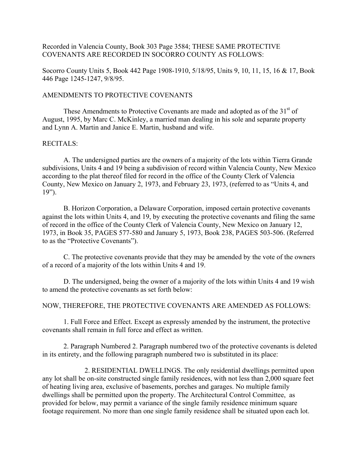Recorded in Valencia County, Book 303 Page 3584; THESE SAME PROTECTIVE COVENANTS ARE RECORDED IN SOCORRO COUNTY AS FOLLOWS:

Socorro County Units 5, Book 442 Page 1908-1910, 5/18/95, Units 9, 10, 11, 15, 16 & 17, Book 446 Page 1245-1247, 9/8/95.

### AMENDMENTS TO PROTECTIVE COVENANTS

These Amendments to Protective Covenants are made and adopted as of the 31<sup>st</sup> of August, 1995, by Marc C. McKinley, a married man dealing in his sole and separate property and Lynn A. Martin and Janice E. Martin, husband and wife.

### RECITALS:

 A. The undersigned parties are the owners of a majority of the lots within Tierra Grande subdivisions, Units 4 and 19 being a subdivision of record within Valencia County, New Mexico according to the plat thereof filed for record in the office of the County Clerk of Valencia County, New Mexico on January 2, 1973, and February 23, 1973, (referred to as "Units 4, and 19").

 B. Horizon Corporation, a Delaware Corporation, imposed certain protective covenants against the lots within Units 4, and 19, by executing the protective covenants and filing the same of record in the office of the County Clerk of Valencia County, New Mexico on January 12, 1973, in Book 35, PAGES 577-580 and January 5, 1973, Book 238, PAGES 503-506. (Referred to as the "Protective Covenants").

 C. The protective covenants provide that they may be amended by the vote of the owners of a record of a majority of the lots within Units 4 and 19.

 D. The undersigned, being the owner of a majority of the lots within Units 4 and 19 wish to amend the protective covenants as set forth below:

## NOW, THEREFORE, THE PROTECTIVE COVENANTS ARE AMENDED AS FOLLOWS:

 1. Full Force and Effect. Except as expressly amended by the instrument, the protective covenants shall remain in full force and effect as written.

 2. Paragraph Numbered 2. Paragraph numbered two of the protective covenants is deleted in its entirety, and the following paragraph numbered two is substituted in its place:

 2. RESIDENTIAL DWELLINGS. The only residential dwellings permitted upon any lot shall be on-site constructed single family residences, with not less than 2,000 square feet of heating living area, exclusive of basements, porches and garages. No multiple family dwellings shall be permitted upon the property. The Architectural Control Committee, as provided for below, may permit a variance of the single family residence minimum square footage requirement. No more than one single family residence shall be situated upon each lot.